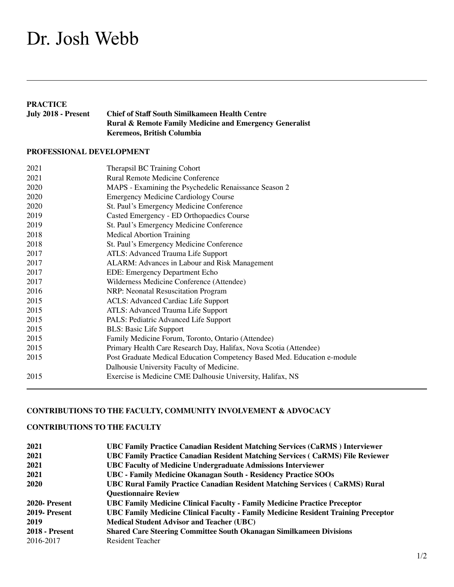# Dr. Josh Webb

**PRACTICE**<br>July 2018 - Present **Chief of Staff South Similkameen Health Centre Rural & Remote Family Medicine and Emergency Generalist Keremeos, British Columbia**

### **PROFESSIONAL DEVELOPMENT**

| 2021 | Therapsil BC Training Cohort                                             |
|------|--------------------------------------------------------------------------|
| 2021 | <b>Rural Remote Medicine Conference</b>                                  |
| 2020 | MAPS - Examining the Psychedelic Renaissance Season 2                    |
| 2020 | <b>Emergency Medicine Cardiology Course</b>                              |
| 2020 | St. Paul's Emergency Medicine Conference                                 |
| 2019 | Casted Emergency - ED Orthopaedics Course                                |
| 2019 | St. Paul's Emergency Medicine Conference                                 |
| 2018 | <b>Medical Abortion Training</b>                                         |
| 2018 | St. Paul's Emergency Medicine Conference                                 |
| 2017 | ATLS: Advanced Trauma Life Support                                       |
| 2017 | ALARM: Advances in Labour and Risk Management                            |
| 2017 | EDE: Emergency Department Echo                                           |
| 2017 | Wilderness Medicine Conference (Attendee)                                |
| 2016 | NRP: Neonatal Resuscitation Program                                      |
| 2015 | <b>ACLS: Advanced Cardiac Life Support</b>                               |
| 2015 | ATLS: Advanced Trauma Life Support                                       |
| 2015 | PALS: Pediatric Advanced Life Support                                    |
| 2015 | <b>BLS: Basic Life Support</b>                                           |
| 2015 | Family Medicine Forum, Toronto, Ontario (Attendee)                       |
| 2015 | Primary Health Care Research Day, Halifax, Nova Scotia (Attendee)        |
| 2015 | Post Graduate Medical Education Competency Based Med. Education e-module |
|      | Dalhousie University Faculty of Medicine.                                |
| 2015 | Exercise is Medicine CME Dalhousie University, Halifax, NS               |

# **CONTRIBUTIONS TO THE FACULTY, COMMUNITY INVOLVEMENT & ADVOCACY**

## **CONTRIBUTIONS TO THE FACULTY**

| 2021                  | <b>UBC Family Practice Canadian Resident Matching Services (CaRMS) Interviewer</b>        |
|-----------------------|-------------------------------------------------------------------------------------------|
| 2021                  | <b>UBC Family Practice Canadian Resident Matching Services (CaRMS) File Reviewer</b>      |
| 2021                  | <b>UBC Faculty of Medicine Undergraduate Admissions Interviewer</b>                       |
| 2021                  | UBC - Family Medicine Okanagan South - Residency Practice SOOs                            |
| 2020                  | <b>UBC Rural Family Practice Canadian Resident Matching Services (CaRMS) Rural</b>        |
|                       | <b>Questionnaire Review</b>                                                               |
| 2020- Present         | UBC Family Medicine Clinical Faculty - Family Medicine Practice Preceptor                 |
| 2019- Present         | <b>UBC Family Medicine Clinical Faculty - Family Medicine Resident Training Preceptor</b> |
| 2019                  | <b>Medical Student Advisor and Teacher (UBC)</b>                                          |
| <b>2018 - Present</b> | <b>Shared Care Steering Committee South Okanagan Similkameen Divisions</b>                |
| 2016-2017             | <b>Resident Teacher</b>                                                                   |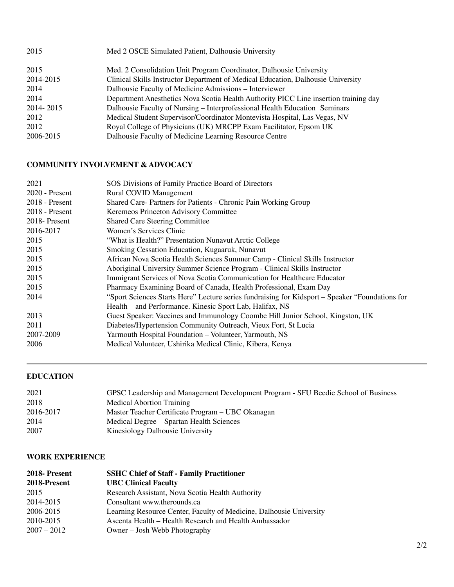| 2015      | Med 2 OSCE Simulated Patient, Dalhousie University                                   |
|-----------|--------------------------------------------------------------------------------------|
| 2015      | Med. 2 Consolidation Unit Program Coordinator, Dalhousie University                  |
| 2014-2015 | Clinical Skills Instructor Department of Medical Education, Dalhousie University     |
| 2014      | Dalhousie Faculty of Medicine Admissions - Interviewer                               |
| 2014      | Department Anesthetics Nova Scotia Health Authority PICC Line insertion training day |
| 2014-2015 | Dalhousie Faculty of Nursing - Interprofessional Health Education Seminars           |
| 2012      | Medical Student Supervisor/Coordinator Montevista Hospital, Las Vegas, NV            |
| 2012      | Royal College of Physicians (UK) MRCPP Exam Facilitator, Epsom UK                    |
| 2006-2015 | Dalhousie Faculty of Medicine Learning Resource Centre                               |

# **COMMUNITY INVOLVEMENT & ADVOCACY**

| 2021             | SOS Divisions of Family Practice Board of Directors                                             |
|------------------|-------------------------------------------------------------------------------------------------|
| 2020 - Present   | <b>Rural COVID Management</b>                                                                   |
| $2018$ - Present | Shared Care- Partners for Patients - Chronic Pain Working Group                                 |
| $2018$ - Present | Keremeos Princeton Advisory Committee                                                           |
| 2018 Present     | <b>Shared Care Steering Committee</b>                                                           |
| 2016-2017        | Women's Services Clinic                                                                         |
| 2015             | "What is Health?" Presentation Nunavut Arctic College                                           |
| 2015             | Smoking Cessation Education, Kugaaruk, Nunavut                                                  |
| 2015             | African Nova Scotia Health Sciences Summer Camp - Clinical Skills Instructor                    |
| 2015             | Aboriginal University Summer Science Program - Clinical Skills Instructor                       |
| 2015             | Immigrant Services of Nova Scotia Communication for Healthcare Educator                         |
| 2015             | Pharmacy Examining Board of Canada, Health Professional, Exam Day                               |
| 2014             | "Sport Sciences Starts Here" Lecture series fundraising for Kidsport – Speaker "Foundations for |
|                  | Health and Performance. Kinesic Sport Lab, Halifax, NS                                          |
| 2013             | Guest Speaker: Vaccines and Immunology Coombe Hill Junior School, Kingston, UK                  |
| 2011             | Diabetes/Hypertension Community Outreach, Vieux Fort, St Lucia                                  |
| 2007-2009        | Yarmouth Hospital Foundation - Volunteer, Yarmouth, NS                                          |
| 2006             | Medical Volunteer, Ushirika Medical Clinic, Kibera, Kenya                                       |

# **EDUCATION**

| 2021      | GPSC Leadership and Management Development Program - SFU Beedie School of Business |
|-----------|------------------------------------------------------------------------------------|
| 2018      | Medical Abortion Training                                                          |
| 2016-2017 | Master Teacher Certificate Program – UBC Okanagan                                  |
| 2014      | Medical Degree – Spartan Health Sciences                                           |
| 2007      | Kinesiology Dalhousie University                                                   |

#### **WORK EXPERIENCE**

| 2018-Present  | <b>SSHC Chief of Staff - Family Practitioner</b>                    |
|---------------|---------------------------------------------------------------------|
| 2018-Present  | <b>UBC Clinical Faculty</b>                                         |
| 2015          | Research Assistant, Nova Scotia Health Authority                    |
| 2014-2015     | Consultant www.therounds.ca                                         |
| 2006-2015     | Learning Resource Center, Faculty of Medicine, Dalhousie University |
| 2010-2015     | Ascenta Health – Health Research and Health Ambassador              |
| $2007 - 2012$ | Owner – Josh Webb Photography                                       |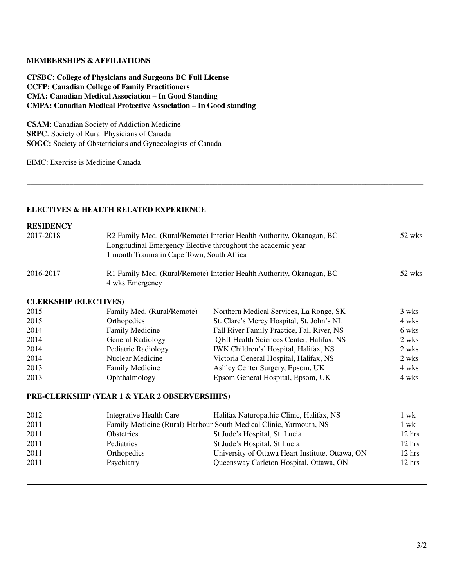#### **MEMBERSHIPS & AFFILIATIONS**

**CPSBC: College of Physicians and Surgeons BC Full License CCFP: Canadian College of Family Practitioners CMA: Canadian Medical Association – In Good Standing CMPA: Canadian Medical Protective Association – In Good standing**

**CSAM**: Canadian Society of Addiction Medicine **SRPC**: Society of Rural Physicians of Canada **SOGC:** Society of Obstetricians and Gynecologists of Canada

EIMC: Exercise is Medicine Canada

#### **ELECTIVES & HEALTH RELATED EXPERIENCE**

# **RESIDENCY**

| 2017-2018 | R2 Family Med. (Rural/Remote) Interior Health Authority, Okanagan, BC<br>Longitudinal Emergency Elective throughout the academic year<br>1 month Trauma in Cape Town, South Africa | 52 wks |
|-----------|------------------------------------------------------------------------------------------------------------------------------------------------------------------------------------|--------|
| 2016-2017 | R1 Family Med. (Rural/Remote) Interior Health Authority, Okanagan, BC<br>4 wks Emergency                                                                                           | 52 wks |

**\_\_\_\_\_\_\_\_\_\_\_\_\_\_\_\_\_\_\_\_\_\_\_\_\_\_\_\_\_\_\_\_\_\_\_\_\_\_\_\_\_\_\_\_\_\_\_\_\_\_\_\_\_\_\_\_\_\_\_\_\_\_\_\_\_\_\_\_\_\_\_\_\_\_\_\_\_\_\_\_\_\_\_\_\_\_\_\_\_\_\_\_\_\_\_\_\_\_\_\_\_\_**

#### **CLERKSHIP (ELECTIVES)**

| 2015 | Family Med. (Rural/Remote) | Northern Medical Services, La Ronge, SK    | 3 wks |
|------|----------------------------|--------------------------------------------|-------|
| 2015 | Orthopedics                | St. Clare's Mercy Hospital, St. John's NL  | 4 wks |
| 2014 | <b>Family Medicine</b>     | Fall River Family Practice, Fall River, NS | 6 wks |
| 2014 | General Radiology          | QEII Health Sciences Center, Halifax, NS   | 2 wks |
| 2014 | Pediatric Radiology        | IWK Children's' Hospital, Halifax, NS      | 2 wks |
| 2014 | Nuclear Medicine           | Victoria General Hospital, Halifax, NS     | 2 wks |
| 2013 | <b>Family Medicine</b>     | Ashley Center Surgery, Epsom, UK           | 4 wks |
| 2013 | Ophthalmology              | Epsom General Hospital, Epsom, UK          | 4 wks |
|      |                            |                                            |       |

#### **PRE-CLERKSHIP (YEAR 1 & YEAR 2 OBSERVERSHIPS)**

| 2012 | Integrative Health Care | Halifax Naturopathic Clinic, Halifax, NS                           | 1 wk             |
|------|-------------------------|--------------------------------------------------------------------|------------------|
| 2011 |                         | Family Medicine (Rural) Harbour South Medical Clinic, Yarmouth, NS | 1 wk             |
| 2011 | <b>Obstetrics</b>       | St Jude's Hospital, St. Lucia                                      | $12 \text{ hrs}$ |
| 2011 | <b>Pediatrics</b>       | St Jude's Hospital, St Lucia                                       | $12 \text{ hrs}$ |
| 2011 | <b>Orthopedics</b>      | University of Ottawa Heart Institute, Ottawa, ON                   | $12 \text{ hrs}$ |
| 2011 | Psychiatry              | Queensway Carleton Hospital, Ottawa, ON                            | $12 \text{ hrs}$ |